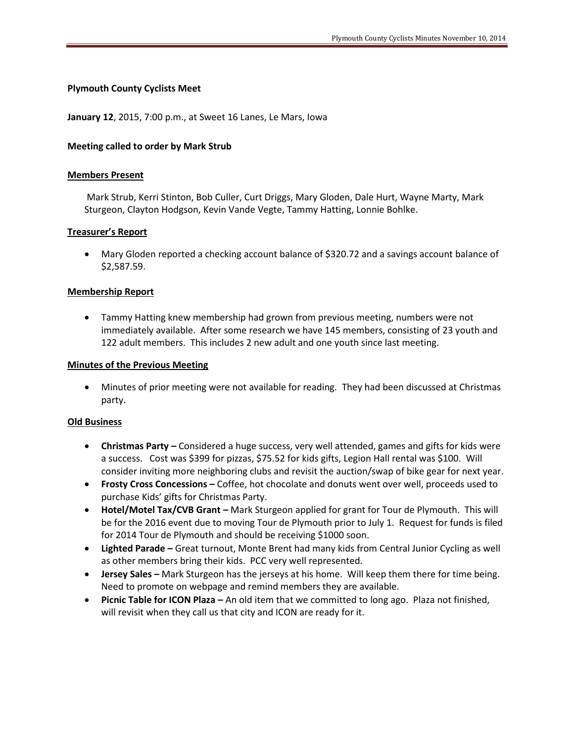## **Plymouth County Cyclists Meet**

**January 12**, 2015, 7:00 p.m., at Sweet 16 Lanes, Le Mars, Iowa

## **Meeting called to order by Mark Strub**

#### **Members Present**

Mark Strub, Kerri Stinton, Bob Culler, Curt Driggs, Mary Gloden, Dale Hurt, Wayne Marty, Mark Sturgeon, Clayton Hodgson, Kevin Vande Vegte, Tammy Hatting, Lonnie Bohlke.

## **Treasurer's Report**

 Mary Gloden reported a checking account balance of \$320.72 and a savings account balance of \$2,587.59.

## **Membership Report**

 Tammy Hatting knew membership had grown from previous meeting, numbers were not immediately available. After some research we have 145 members, consisting of 23 youth and 122 adult members. This includes 2 new adult and one youth since last meeting.

#### **Minutes of the Previous Meeting**

 Minutes of prior meeting were not available for reading. They had been discussed at Christmas party.

#### **Old Business**

- **Christmas Party –** Considered a huge success, very well attended, games and gifts for kids were a success. Cost was \$399 for pizzas, \$75.52 for kids gifts, Legion Hall rental was \$100. Will consider inviting more neighboring clubs and revisit the auction/swap of bike gear for next year.
- **Frosty Cross Concessions –** Coffee, hot chocolate and donuts went over well, proceeds used to purchase Kids' gifts for Christmas Party.
- **Hotel/Motel Tax/CVB Grant –** Mark Sturgeon applied for grant for Tour de Plymouth. This will be for the 2016 event due to moving Tour de Plymouth prior to July 1. Request for funds is filed for 2014 Tour de Plymouth and should be receiving \$1000 soon.
- **Lighted Parade –** Great turnout, Monte Brent had many kids from Central Junior Cycling as well as other members bring their kids. PCC very well represented.
- **Jersey Sales –** Mark Sturgeon has the jerseys at his home. Will keep them there for time being. Need to promote on webpage and remind members they are available.
- **Picnic Table for ICON Plaza –** An old item that we committed to long ago. Plaza not finished, will revisit when they call us that city and ICON are ready for it.